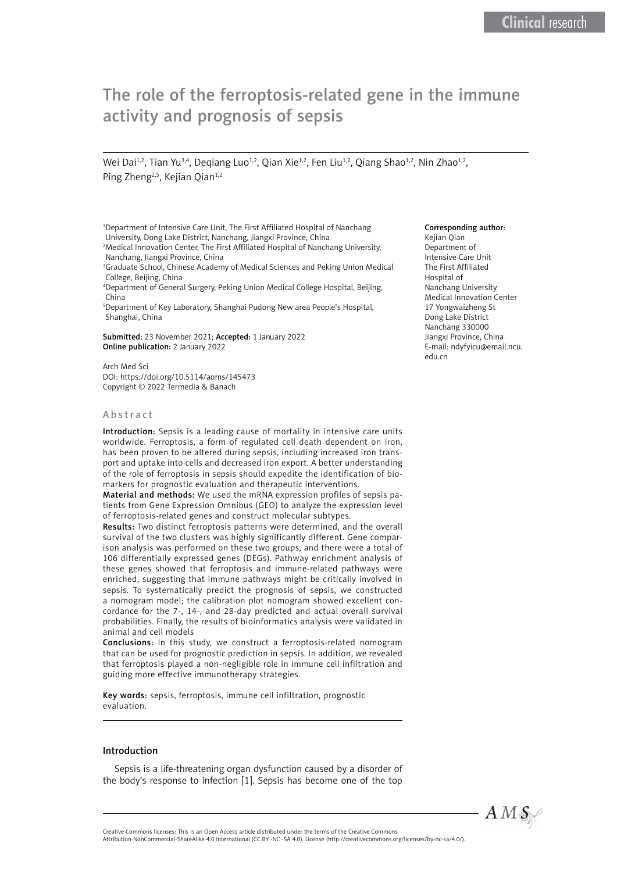# The role of the ferroptosis-related gene in the immune activity and prognosis of sepsis

Wei Dai<sup>1,2</sup>, Tian Yu<sup>3,4</sup>, Deqiang Luo<sup>1,2</sup>, Qian Xie<sup>1,2</sup>, Fen Liu<sup>1,2</sup>, Qiang Shao<sup>1,2</sup>, Nin Zhao<sup>1,2</sup>, Ping Zheng<sup>2,5</sup>, Kejian Qian<sup>1,2</sup>

<sup>1</sup>Department of Intensive Care Unit, The First Affiliated Hospital of Nanchang University, Dong Lake District, Nanchang, Jiangxi Province, China

2 Medical Innovation Center, The First Affiliated Hospital of Nanchang University, Nanchang, Jiangxi Province, China

<sup>3</sup>Graduate School, Chinese Academy of Medical Sciences and Peking Union Medical College, Beijing, China

4 Department of General Surgery, Peking Union Medical College Hospital, Beijing, China

5 Department of Key Laboratory, Shanghai Pudong New area People's Hospital, Shanghai, China

Submitted: 23 November 2021; Accepted: 1 January 2022 Online publication: 2 January 2022

Arch Med Sci DOI: https://doi.org/10.5114/aoms/145473 Copyright © 2022 Termedia & Banach

## Abstract

Introduction: Sepsis is a leading cause of mortality in intensive care units worldwide. Ferroptosis, a form of regulated cell death dependent on iron, has been proven to be altered during sepsis, including increased iron transport and uptake into cells and decreased iron export. A better understanding of the role of ferroptosis in sepsis should expedite the identification of biomarkers for prognostic evaluation and therapeutic interventions.

Material and methods: We used the mRNA expression profiles of sepsis patients from Gene Expression Omnibus (GEO) to analyze the expression level of ferroptosis-related genes and construct molecular subtypes.

Results: Two distinct ferroptosis patterns were determined, and the overall survival of the two clusters was highly significantly different. Gene comparison analysis was performed on these two groups, and there were a total of 106 differentially expressed genes (DEGs). Pathway enrichment analysis of these genes showed that ferroptosis and immune-related pathways were enriched, suggesting that immune pathways might be critically involved in sepsis. To systematically predict the prognosis of sepsis, we constructed a nomogram model; the calibration plot nomogram showed excellent concordance for the 7-, 14-, and 28-day predicted and actual overall survival probabilities. Finally, the results of bioinformatics analysis were validated in animal and cell models

Conclusions: In this study, we construct a ferroptosis-related nomogram that can be used for prognostic prediction in sepsis. In addition, we revealed that ferroptosis played a non-negligible role in immune cell infiltration and guiding more effective immunotherapy strategies.

Key words: sepsis, ferroptosis, immune cell infiltration, prognostic evaluation.

#### Introduction

Sepsis is a life-threatening organ dysfunction caused by a disorder of the body's response to infection [1]. Sepsis has become one of the top

#### Corresponding author:

Kejian Qian Department of Intensive Care Unit The First Affiliated Hospital of Nanchang University Medical Innovation Center 17 Yongwaizheng St Dong Lake District Nanchang 330000 Jiangxi Province, China E-mail: [ndyfyicu@email.ncu.](mailto:ndyfyicu@email.ncu.edu.cn) [edu.cn](mailto:ndyfyicu@email.ncu.edu.cn)



Creative Commons licenses: This is an Open Access article distributed under the terms of the Creative Commons Attribution-NonCommercial-ShareAlike 4.0 International (CC BY -NC -SA 4.0). License (http://creativecommons.org/licenses/by-nc-sa/4.0/).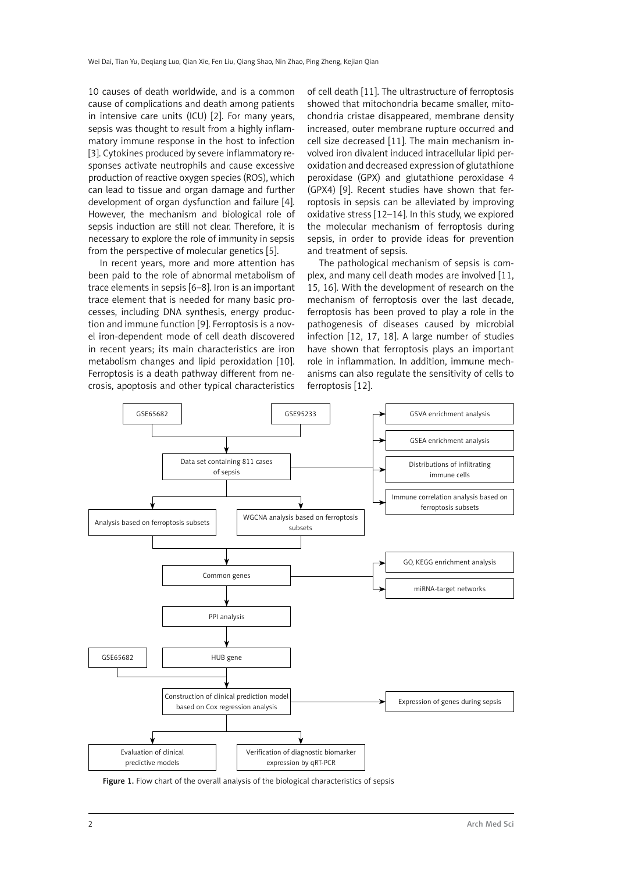10 causes of death worldwide, and is a common cause of complications and death among patients in intensive care units (ICU) [2]. For many years, sepsis was thought to result from a highly inflammatory immune response in the host to infection [3]. Cytokines produced by severe inflammatory responses activate neutrophils and cause excessive production of reactive oxygen species (ROS), which can lead to tissue and organ damage and further development of organ dysfunction and failure [4]. However, the mechanism and biological role of sepsis induction are still not clear. Therefore, it is necessary to explore the role of immunity in sepsis from the perspective of molecular genetics [5].

In recent years, more and more attention has been paid to the role of abnormal metabolism of trace elements in sepsis [6–8]. Iron is an important trace element that is needed for many basic processes, including DNA synthesis, energy production and immune function [9]. Ferroptosis is a novel iron-dependent mode of cell death discovered in recent years; its main characteristics are iron metabolism changes and lipid peroxidation [10]. Ferroptosis is a death pathway different from necrosis, apoptosis and other typical characteristics of cell death [11]. The ultrastructure of ferroptosis showed that mitochondria became smaller, mitochondria cristae disappeared, membrane density increased, outer membrane rupture occurred and cell size decreased [11]. The main mechanism involved iron divalent induced intracellular lipid peroxidation and decreased expression of glutathione peroxidase (GPX) and glutathione peroxidase 4 (GPX4) [9]. Recent studies have shown that ferroptosis in sepsis can be alleviated by improving oxidative stress [12–14]. In this study, we explored the molecular mechanism of ferroptosis during sepsis, in order to provide ideas for prevention and treatment of sepsis.

The pathological mechanism of sepsis is complex, and many cell death modes are involved [11, 15, 16]. With the development of research on the mechanism of ferroptosis over the last decade, ferroptosis has been proved to play a role in the pathogenesis of diseases caused by microbial infection [12, 17, 18]. A large number of studies have shown that ferroptosis plays an important role in inflammation. In addition, immune mechanisms can also regulate the sensitivity of cells to ferroptosis [12].



Figure 1. Flow chart of the overall analysis of the biological characteristics of sepsis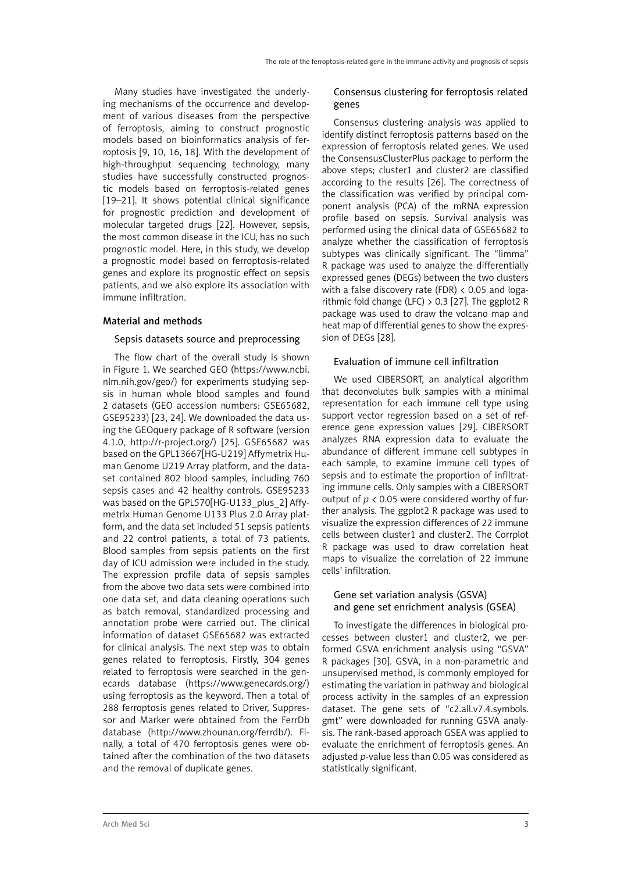Many studies have investigated the underlying mechanisms of the occurrence and development of various diseases from the perspective of ferroptosis, aiming to construct prognostic models based on bioinformatics analysis of ferroptosis [9, 10, 16, 18]. With the development of high-throughput sequencing technology, many studies have successfully constructed prognostic models based on ferroptosis-related genes [19–21]. It shows potential clinical significance for prognostic prediction and development of molecular targeted drugs [22]. However, sepsis, the most common disease in the ICU, has no such prognostic model. Here, in this study, we develop a prognostic model based on ferroptosis-related genes and explore its prognostic effect on sepsis patients, and we also explore its association with immune infiltration.

#### Material and methods

#### Sepsis datasets source and preprocessing

The flow chart of the overall study is shown in Figure 1. We searched GEO (https://www.ncbi. nlm.nih.gov/geo/) for experiments studying sepsis in human whole blood samples and found 2 datasets (GEO accession numbers: GSE65682, GSE95233) [23, 24]. We downloaded the data using the GEOquery package of R software (version 4.1.0, <http://r-project.org/>) [25]. GSE65682 was based on the GPL13667[HG-U219] Affymetrix Human Genome U219 Array platform, and the dataset contained 802 blood samples, including 760 sepsis cases and 42 healthy controls. GSE95233 was based on the GPL570[HG-U133\_plus\_2] Affymetrix Human Genome U133 Plus 2.0 Array platform, and the data set included 51 sepsis patients and 22 control patients, a total of 73 patients. Blood samples from sepsis patients on the first day of ICU admission were included in the study. The expression profile data of sepsis samples from the above two data sets were combined into one data set, and data cleaning operations such as batch removal, standardized processing and annotation probe were carried out. The clinical information of dataset GSE65682 was extracted for clinical analysis. The next step was to obtain genes related to ferroptosis. Firstly, 304 genes related to ferroptosis were searched in the genecards database ([https://www.genecards.org/\)](https://www.genecards.org/) using ferroptosis as the keyword. Then a total of 288 ferroptosis genes related to Driver, Suppressor and Marker were obtained from the FerrDb database ([http://www.zhounan.org/ferrdb/\)](http://www.zhounan.org/ferrdb/). Finally, a total of 470 ferroptosis genes were obtained after the combination of the two datasets and the removal of duplicate genes.

## Consensus clustering for ferroptosis related genes

Consensus clustering analysis was applied to identify distinct ferroptosis patterns based on the expression of ferroptosis related genes. We used the ConsensusClusterPlus package to perform the above steps; cluster1 and cluster2 are classified according to the results [26]. The correctness of the classification was verified by principal component analysis (PCA) of the mRNA expression profile based on sepsis. Survival analysis was performed using the clinical data of GSE65682 to analyze whether the classification of ferroptosis subtypes was clinically significant. The "limma" R package was used to analyze the differentially expressed genes (DEGs) between the two clusters with a false discovery rate (FDR)  $< 0.05$  and logarithmic fold change (LFC) > 0.3 [27]. The ggplot2 R package was used to draw the volcano map and heat map of differential genes to show the expression of DEGs [28].

#### Evaluation of immune cell infiltration

We used CIBERSORT, an analytical algorithm that deconvolutes bulk samples with a minimal representation for each immune cell type using support vector regression based on a set of reference gene expression values [29]. CIBERSORT analyzes RNA expression data to evaluate the abundance of different immune cell subtypes in each sample, to examine immune cell types of sepsis and to estimate the proportion of infiltrating immune cells. Only samples with a CIBERSORT output of *p* < 0.05 were considered worthy of further analysis. The ggplot2 R package was used to visualize the expression differences of 22 immune cells between cluster1 and cluster2. The Corrplot R package was used to draw correlation heat maps to visualize the correlation of 22 immune cells' infiltration.

## Gene set variation analysis (GSVA) and gene set enrichment analysis (GSEA)

To investigate the differences in biological processes between cluster1 and cluster2, we performed GSVA enrichment analysis using "GSVA" R packages [30]. GSVA, in a non-parametric and unsupervised method, is commonly employed for estimating the variation in pathway and biological process activity in the samples of an expression dataset. The gene sets of "c2.all.v7.4.symbols. gmt" were downloaded for running GSVA analysis. The rank-based approach GSEA was applied to evaluate the enrichment of ferroptosis genes. An adjusted *p*-value less than 0.05 was considered as statistically significant.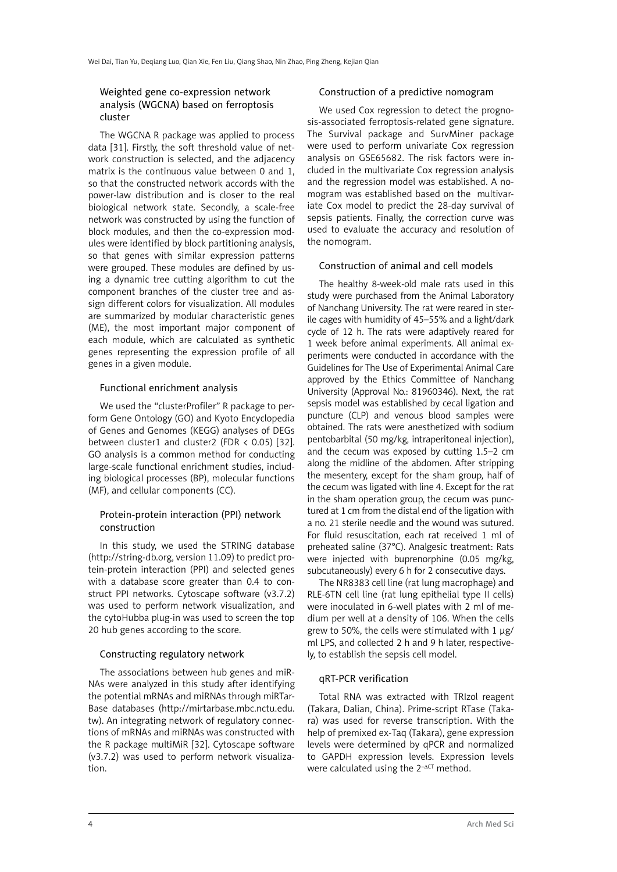## Weighted gene co-expression network analysis (WGCNA) based on ferroptosis cluster

The WGCNA R package was applied to process data [31]. Firstly, the soft threshold value of network construction is selected, and the adjacency matrix is the continuous value between 0 and 1, so that the constructed network accords with the power-law distribution and is closer to the real biological network state. Secondly, a scale-free network was constructed by using the function of block modules, and then the co-expression modules were identified by block partitioning analysis, so that genes with similar expression patterns were grouped. These modules are defined by using a dynamic tree cutting algorithm to cut the component branches of the cluster tree and assign different colors for visualization. All modules are summarized by modular characteristic genes (ME), the most important major component of each module, which are calculated as synthetic genes representing the expression profile of all genes in a given module.

#### Functional enrichment analysis

We used the "clusterProfiler" R package to perform Gene Ontology (GO) and Kyoto Encyclopedia of Genes and Genomes (KEGG) analyses of DEGs between cluster1 and cluster2 (FDR  $\langle$  0.05) [32]. GO analysis is a common method for conducting large-scale functional enrichment studies, including biological processes (BP), molecular functions (MF), and cellular components (CC).

#### Protein-protein interaction (PPI) network construction

In this study, we used the STRING database (http://string-db.org, version 11.09) to predict protein-protein interaction (PPI) and selected genes with a database score greater than 0.4 to construct PPI networks. Cytoscape software (v3.7.2) was used to perform network visualization, and the cytoHubba plug-in was used to screen the top 20 hub genes according to the score.

#### Constructing regulatory network

The associations between hub genes and miR-NAs were analyzed in this study after identifying the potential mRNAs and miRNAs through miRTar-Base databases ([http://mirtarbase.mbc.nctu.edu.](http://mirtarbase.mbc.nctu.edu.tw) [tw](http://mirtarbase.mbc.nctu.edu.tw)). An integrating network of regulatory connections of mRNAs and miRNAs was constructed with the R package multiMiR [32]. Cytoscape software (v3.7.2) was used to perform network visualization.

#### Construction of a predictive nomogram

We used Cox regression to detect the prognosis-associated ferroptosis-related gene signature. The Survival package and SurvMiner package were used to perform univariate Cox regression analysis on GSE65682. The risk factors were included in the multivariate Cox regression analysis and the regression model was established. A nomogram was established based on the multivariate Cox model to predict the 28-day survival of sepsis patients. Finally, the correction curve was used to evaluate the accuracy and resolution of the nomogram.

## Construction of animal and cell models

The healthy 8-week-old male rats used in this study were purchased from the Animal Laboratory of Nanchang University. The rat were reared in sterile cages with humidity of 45–55% and a light/dark cycle of 12 h. The rats were adaptively reared for 1 week before animal experiments. All animal experiments were conducted in accordance with the Guidelines for The Use of Experimental Animal Care approved by the Ethics Committee of Nanchang University (Approval No.: 81960346). Next, the rat sepsis model was established by cecal ligation and puncture (CLP) and venous blood samples were obtained. The rats were anesthetized with sodium pentobarbital (50 mg/kg, intraperitoneal injection), and the cecum was exposed by cutting 1.5–2 cm along the midline of the abdomen. After stripping the mesentery, except for the sham group, half of the cecum was ligated with line 4. Except for the rat in the sham operation group, the cecum was punctured at 1 cm from the distal end of the ligation with a no. 21 sterile needle and the wound was sutured. For fluid resuscitation, each rat received 1 ml of preheated saline (37°C). Analgesic treatment: Rats were injected with buprenorphine (0.05 mg/kg, subcutaneously) every 6 h for 2 consecutive days.

The NR8383 cell line (rat lung macrophage) and RLE-6TN cell line (rat lung epithelial type II cells) were inoculated in 6-well plates with 2 ml of medium per well at a density of 106. When the cells grew to 50%, the cells were stimulated with 1 μg/ ml LPS, and collected 2 h and 9 h later, respectively, to establish the sepsis cell model.

## qRT-PCR verification

Total RNA was extracted with TRIzol reagent (Takara, Dalian, China). Prime-script RTase (Takara) was used for reverse transcription. With the help of premixed ex-Taq (Takara), gene expression levels were determined by qPCR and normalized to GAPDH expression levels. Expression levels were calculated using the  $2^{-\Delta CT}$  method.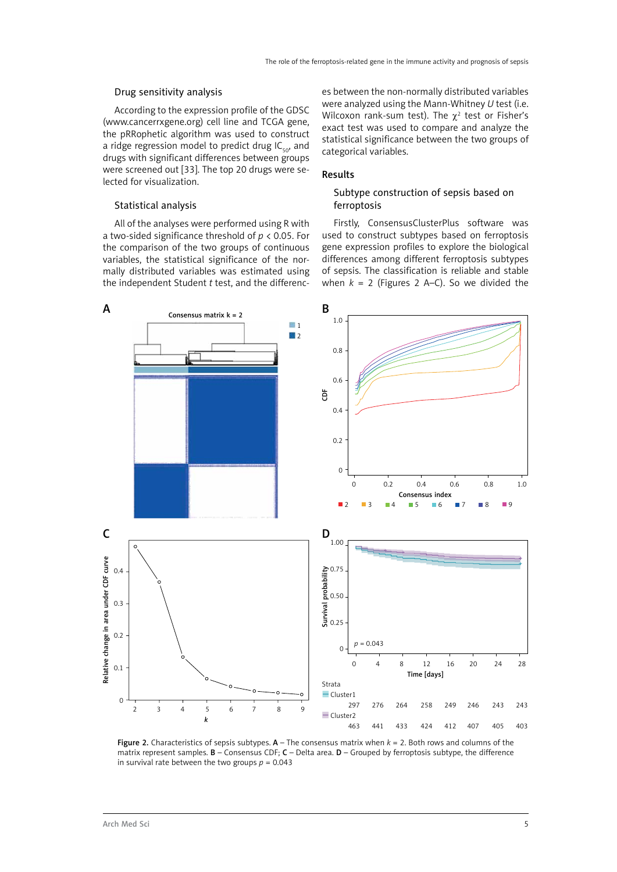#### Drug sensitivity analysis

According to the expression profile of the GDSC (www.cancerrxgene.org) cell line and TCGA gene, the pRRophetic algorithm was used to construct a ridge regression model to predict drug  $IC_{50}$ , and drugs with significant differences between groups were screened out [33]. The top 20 drugs were selected for visualization.

#### Statistical analysis

All of the analyses were performed using R with a two-sided significance threshold of *p* < 0.05. For the comparison of the two groups of continuous variables, the statistical significance of the normally distributed variables was estimated using the independent Student *t* test, and the differenc-

es between the non-normally distributed variables were analyzed using the Mann-Whitney *U* test (i.e. Wilcoxon rank-sum test). The  $\chi^2$  test or Fisher's exact test was used to compare and analyze the statistical significance between the two groups of categorical variables.

#### Results

## Subtype construction of sepsis based on ferroptosis

Firstly, ConsensusClusterPlus software was used to construct subtypes based on ferroptosis gene expression profiles to explore the biological differences among different ferroptosis subtypes of sepsis. The classification is reliable and stable when  $k = 2$  (Figures 2 A–C). So we divided the



Figure 2. Characteristics of sepsis subtypes.  $A -$  The consensus matrix when  $k = 2$ . Both rows and columns of the matrix represent samples. B – Consensus CDF; C – Delta area. D – Grouped by ferroptosis subtype, the difference in survival rate between the two groups  $p = 0.043$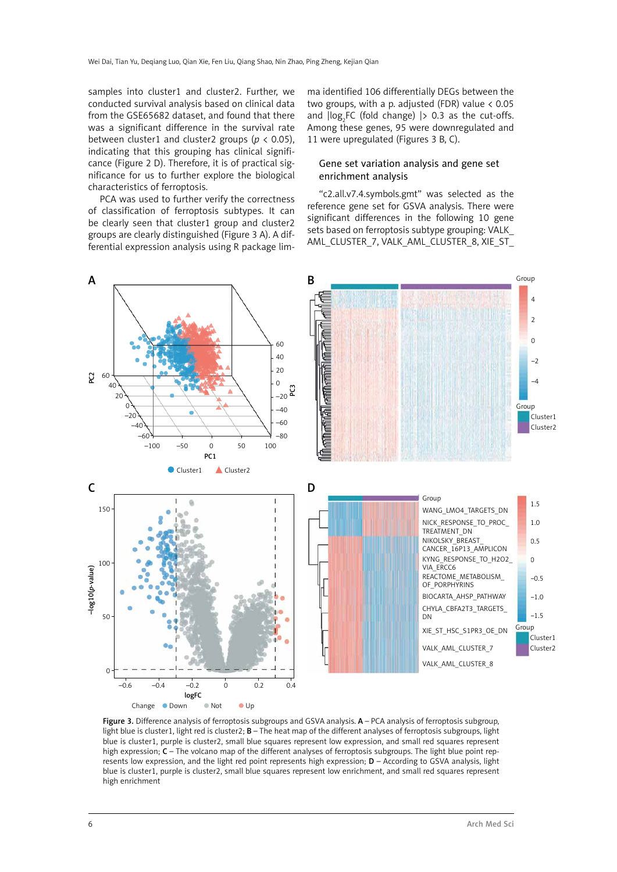samples into cluster1 and cluster2. Further, we conducted survival analysis based on clinical data from the GSE65682 dataset, and found that there was a significant difference in the survival rate between cluster1 and cluster2 groups (*p* < 0.05), indicating that this grouping has clinical significance (Figure 2 D). Therefore, it is of practical significance for us to further explore the biological characteristics of ferroptosis.

PCA was used to further verify the correctness of classification of ferroptosis subtypes. It can be clearly seen that cluster1 group and cluster2 groups are clearly distinguished (Figure 3 A). A differential expression analysis using R package limma identified 106 differentially DEGs between the two groups, with a p. adjusted (FDR) value < 0.05 and  $\log_2$ FC (fold change)  $\vert$ > 0.3 as the cut-offs. Among these genes, 95 were downregulated and 11 were upregulated (Figures 3 B, C).

## Gene set variation analysis and gene set enrichment analysis

"c2.all.v7.4.symbols.gmt" was selected as the reference gene set for GSVA analysis. There were significant differences in the following 10 gene sets based on ferroptosis subtype grouping: VALK\_ AML\_CLUSTER\_7, VALK\_AML\_CLUSTER\_8, XIE\_ST\_



Figure 3. Difference analysis of ferroptosis subgroups and GSVA analysis. A – PCA analysis of ferroptosis subgroup, light blue is cluster1, light red is cluster2; **B** – The heat map of the different analyses of ferroptosis subgroups, light blue is cluster1, purple is cluster2, small blue squares represent low expression, and small red squares represent high expression; C – The volcano map of the different analyses of ferroptosis subgroups. The light blue point represents low expression, and the light red point represents high expression; D - According to GSVA analysis, light blue is cluster1, purple is cluster2, small blue squares represent low enrichment, and small red squares represent high enrichment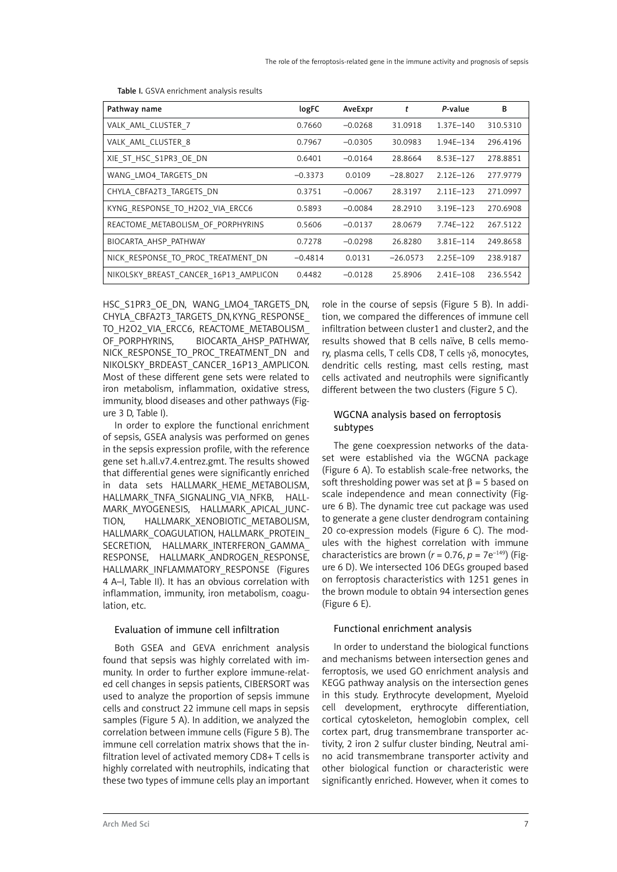| Pathway name                          | logFC     | AveExpr   | t          | P-value       | В        |
|---------------------------------------|-----------|-----------|------------|---------------|----------|
| VALK AML CLUSTER 7                    | 0.7660    | $-0.0268$ | 31.0918    | 1.37E-140     | 310.5310 |
| VALK AML CLUSTER 8                    | 0.7967    | $-0.0305$ | 30.0983    | 1.94E-134     | 296.4196 |
| XIE ST HSC S1PR3 OE DN                | 0.6401    | $-0.0164$ | 28.8664    | 8.53E-127     | 278.8851 |
| WANG LMO4 TARGETS DN                  | $-0.3373$ | 0.0109    | $-28.8027$ | $2.12E - 126$ | 277.9779 |
| CHYLA CBFA2T3 TARGETS DN              | 0.3751    | $-0.0067$ | 28.3197    | $2.11E - 123$ | 271.0997 |
| KYNG RESPONSE TO H2O2 VIA ERCC6       | 0.5893    | $-0.0084$ | 28.2910    | 3.19E-123     | 270.6908 |
| REACTOME METABOLISM OF PORPHYRINS     | 0.5606    | $-0.0137$ | 28.0679    | 7.74E-122     | 267.5122 |
| BIOCARTA AHSP PATHWAY                 | 0.7278    | $-0.0298$ | 26.8280    | 3.81E-114     | 249.8658 |
| NICK RESPONSE TO PROC TREATMENT DN    | $-0.4814$ | 0.0131    | $-26.0573$ | 2.25E-109     | 238.9187 |
| NIKOLSKY BREAST CANCER 16P13 AMPLICON | 0.4482    | $-0.0128$ | 25.8906    | 2.41E-108     | 236.5542 |

Table I. GSVA enrichment analysis results

HSC\_S1PR3\_OE\_DN, WANG\_LMO4\_TARGETS\_DN, CHYLA\_CBFA2T3\_TARGETS\_DN, KYNG\_RESPONSE\_ TO H2O2 VIA ERCC6, REACTOME METABOLISM OF PORPHYRINS, BIOCARTA AHSP PATHWAY, NICK\_RESPONSE\_TO\_PROC\_TREATMENT\_DN and NIKOLSKY\_BRDEAST\_CANCER\_16P13\_AMPLICON. Most of these different gene sets were related to iron metabolism, inflammation, oxidative stress, immunity, blood diseases and other pathways (Figure 3 D, Table I).

In order to explore the functional enrichment of sepsis, GSEA analysis was performed on genes in the sepsis expression profile, with the reference gene set h.all.v7.4.entrez.gmt. The results showed that differential genes were significantly enriched in data sets HALLMARK HEME METABOLISM, HALLMARK\_TNFA\_SIGNALING\_VIA\_NFKB, HALL-MARK\_MYOGENESIS, HALLMARK\_APICAL\_JUNC-TION, HALLMARK\_XENOBIOTIC\_METABOLISM, HALLMARK\_COAGULATION, HALLMARK\_PROTEIN\_ SECRETION, HALLMARK\_INTERFERON\_GAMMA\_ RESPONSE, HALLMARK ANDROGEN RESPONSE, HALLMARK\_INFLAMMATORY\_RESPONSE (Figures 4 A–I, Table II). It has an obvious correlation with inflammation, immunity, iron metabolism, coagulation, etc.

#### Evaluation of immune cell infiltration

Both GSEA and GEVA enrichment analysis found that sepsis was highly correlated with immunity. In order to further explore immune-related cell changes in sepsis patients, CIBERSORT was used to analyze the proportion of sepsis immune cells and construct 22 immune cell maps in sepsis samples (Figure 5 A). In addition, we analyzed the correlation between immune cells (Figure 5 B). The immune cell correlation matrix shows that the infiltration level of activated memory CD8+ T cells is highly correlated with neutrophils, indicating that these two types of immune cells play an important

role in the course of sepsis (Figure 5 B). In addition, we compared the differences of immune cell infiltration between cluster1 and cluster2, and the results showed that B cells naïve, B cells memory, plasma cells, T cells CD8, T cells  $\gamma\delta$ , monocytes, dendritic cells resting, mast cells resting, mast cells activated and neutrophils were significantly different between the two clusters (Figure 5 C).

# WGCNA analysis based on ferroptosis subtypes

The gene coexpression networks of the dataset were established via the WGCNA package (Figure 6 A). To establish scale-free networks, the soft thresholding power was set at  $\beta = 5$  based on scale independence and mean connectivity (Figure 6 B). The dynamic tree cut package was used to generate a gene cluster dendrogram containing 20 co-expression models (Figure 6 C). The modules with the highest correlation with immune characteristics are brown ( $r = 0.76$ ,  $p = 7e^{-149}$ ) (Figure 6 D). We intersected 106 DEGs grouped based on ferroptosis characteristics with 1251 genes in the brown module to obtain 94 intersection genes (Figure 6 E).

## Functional enrichment analysis

In order to understand the biological functions and mechanisms between intersection genes and ferroptosis, we used GO enrichment analysis and KEGG pathway analysis on the intersection genes in this study. Erythrocyte development, Myeloid cell development, erythrocyte differentiation, cortical cytoskeleton, hemoglobin complex, cell cortex part, drug transmembrane transporter activity, 2 iron 2 sulfur cluster binding, Neutral amino acid transmembrane transporter activity and other biological function or characteristic were significantly enriched. However, when it comes to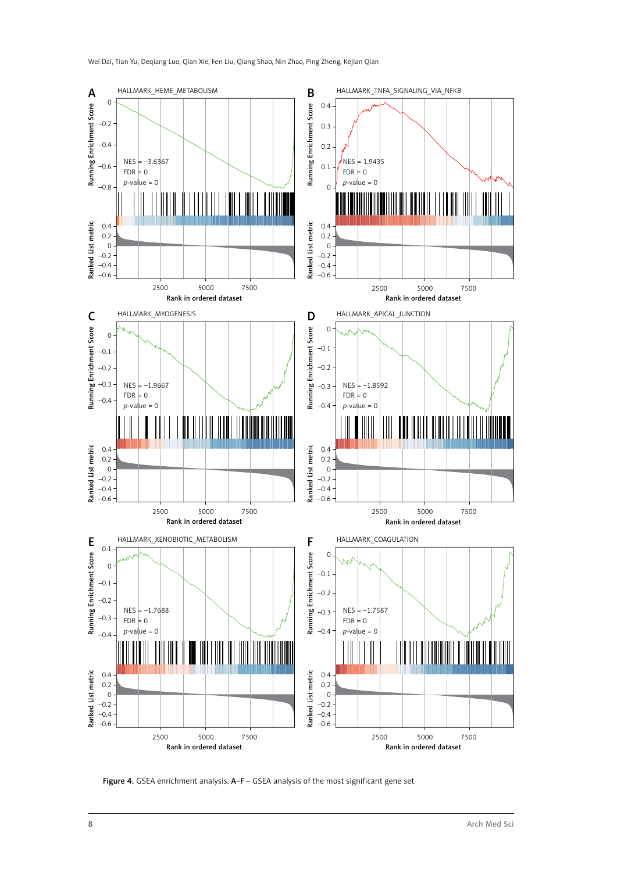

Figure 4. GSEA enrichment analysis. A-F - GSEA analysis of the most significant gene set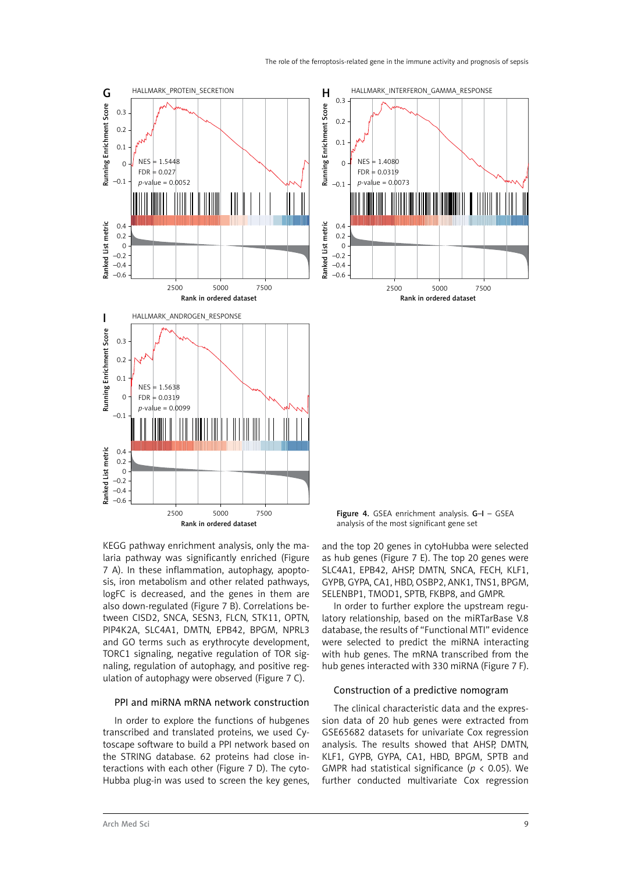

KEGG pathway enrichment analysis, only the malaria pathway was significantly enriched (Figure 7 A). In these inflammation, autophagy, apoptosis, iron metabolism and other related pathways, logFC is decreased, and the genes in them are also down-regulated (Figure 7 B). Correlations between CISD2, SNCA, SESN3, FLCN, STK11, OPTN, PIP4K2A, SLC4A1, DMTN, EPB42, BPGM, NPRL3 and GO terms such as erythrocyte development, TORC1 signaling, negative regulation of TOR signaling, regulation of autophagy, and positive regulation of autophagy were observed (Figure 7 C).

#### PPI and miRNA mRNA network construction

In order to explore the functions of hubgenes transcribed and translated proteins, we used Cytoscape software to build a PPI network based on the STRING database. 62 proteins had close interactions with each other (Figure 7 D). The cyto-Hubba plug-in was used to screen the key genes,

and the top 20 genes in cytoHubba were selected as hub genes (Figure 7 E). The top 20 genes were SLC4A1, EPB42, AHSP, DMTN, SNCA, FECH, KLF1, GYPB, GYPA, CA1, HBD, OSBP2, ANK1, TNS1, BPGM, SELENBP1, TMOD1, SPTB, FKBP8, and GMPR.

In order to further explore the upstream regulatory relationship, based on the miRTarBase V.8 database, the results of "Functional MTI" evidence were selected to predict the miRNA interacting with hub genes. The mRNA transcribed from the hub genes interacted with 330 miRNA (Figure 7 F).

#### Construction of a predictive nomogram

The clinical characteristic data and the expression data of 20 hub genes were extracted from GSE65682 datasets for univariate Cox regression analysis. The results showed that AHSP, DMTN, KLF1, GYPB, GYPA, CA1, HBD, BPGM, SPTB and GMPR had statistical significance (*p* < 0.05). We further conducted multivariate Cox regression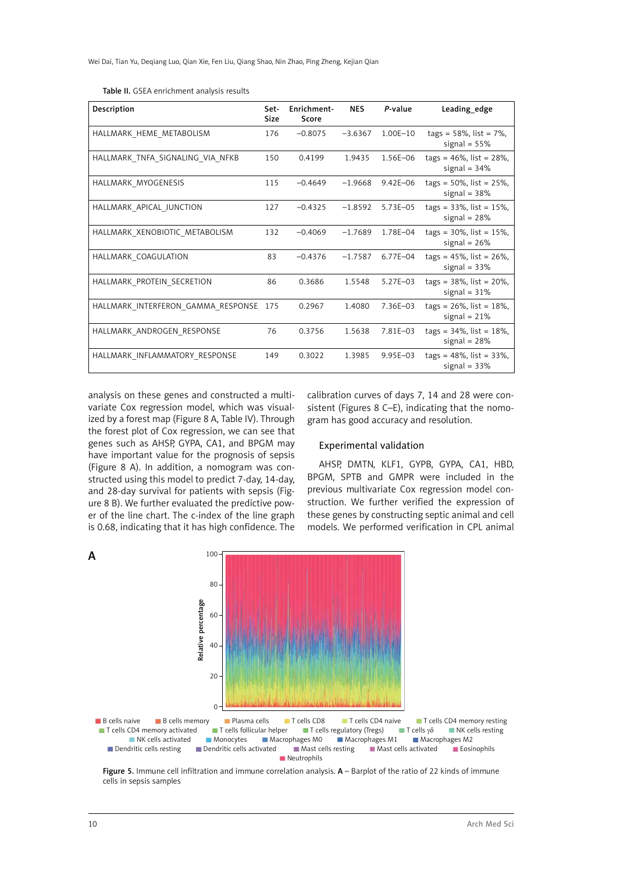|  |  | Table II. GSEA enrichment analysis results |
|--|--|--------------------------------------------|
|--|--|--------------------------------------------|

| Description                        | Set-<br><b>Size</b> | Enrichment-<br>Score | <b>NES</b> | P-value      | Leading edge                                   |
|------------------------------------|---------------------|----------------------|------------|--------------|------------------------------------------------|
| HALLMARK HEME METABOLISM           | 176                 | $-0.8075$            | $-3.6367$  | $1.00E - 10$ | $tags = 58\%, list = 7\%,$<br>signal = $55\%$  |
| HALLMARK TNFA SIGNALING VIA NFKB   | 150                 | 0.4199               | 1.9435     | 1.56E-06     | $tags = 46\%, list = 28\%,$<br>signal = $34%$  |
| HALLMARK MYOGENESIS                | 115                 | $-0.4649$            | $-1.9668$  | $9.42E - 06$ | $tags = 50\%, list = 25\%,$<br>signal = $38\%$ |
| HALLMARK_APICAL_JUNCTION           | 127                 | $-0.4325$            | $-1.8592$  | 5.73E-05     | $tags = 33\%$ , list = 15%,<br>signal = $28%$  |
| HALLMARK XENOBIOTIC METABOLISM     | 132                 | $-0.4069$            | $-1.7689$  | 1.78E-04     | $tags = 30\%$ , list = 15%,<br>signal = $26%$  |
| HALLMARK COAGULATION               | 83                  | $-0.4376$            | $-1.7587$  | $6.77E - 04$ | $tags = 45\%, list = 26\%,$<br>signal = $33\%$ |
| HALLMARK PROTEIN SECRETION         | 86                  | 0.3686               | 1.5548     | $5.27E - 03$ | $tags = 38\%, list = 20\%,$<br>signal = $31\%$ |
| HALLMARK INTERFERON GAMMA RESPONSE | 175                 | 0.2967               | 1.4080     | 7.36E-03     | $tags = 26\%$ , list = 18%,<br>signal = $21%$  |
| HALLMARK ANDROGEN RESPONSE         | 76                  | 0.3756               | 1.5638     | 7.81E-03     | $tags = 34\%, list = 18\%,$<br>signal = $28%$  |
| HALLMARK INFLAMMATORY RESPONSE     | 149                 | 0.3022               | 1.3985     | $9.95E - 03$ | $tags = 48\%, list = 33\%,$<br>signal = $33%$  |

analysis on these genes and constructed a multivariate Cox regression model, which was visualized by a forest map (Figure 8 A, Table IV). Through the forest plot of Cox regression, we can see that genes such as AHSP, GYPA, CA1, and BPGM may have important value for the prognosis of sepsis (Figure 8 A). In addition, a nomogram was constructed using this model to predict 7-day, 14-day, and 28-day survival for patients with sepsis (Figure 8 B). We further evaluated the predictive power of the line chart. The c-index of the line graph is 0.68, indicating that it has high confidence. The

calibration curves of days 7, 14 and 28 were consistent (Figures 8 C–E), indicating that the nomogram has good accuracy and resolution.

## Experimental validation

AHSP, DMTN, KLF1, GYPB, GYPA, CA1, HBD, BPGM, SPTB and GMPR were included in the previous multivariate Cox regression model construction. We further verified the expression of these genes by constructing septic animal and cell models. We performed verification in CPL animal



Figure 5. Immune cell infiltration and immune correlation analysis. A - Barplot of the ratio of 22 kinds of immune cells in sepsis samples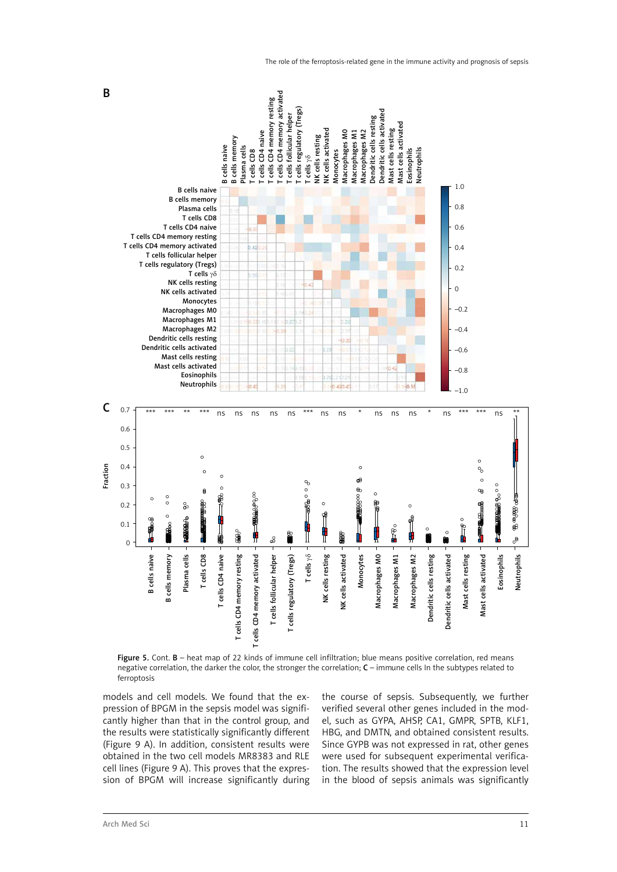

Figure 5. Cont. B – heat map of 22 kinds of immune cell infiltration; blue means positive correlation, red means negative correlation, the darker the color, the stronger the correlation; C – immune cells In the subtypes related to ferroptosis

models and cell models. We found that the expression of BPGM in the sepsis model was significantly higher than that in the control group, and the results were statistically significantly different (Figure 9 A). In addition, consistent results were obtained in the two cell models MR8383 and RLE cell lines (Figure 9 A). This proves that the expression of BPGM will increase significantly during the course of sepsis. Subsequently, we further verified several other genes included in the model, such as GYPA, AHSP, CA1, GMPR, SPTB, KLF1, HBG, and DMTN, and obtained consistent results. Since GYPB was not expressed in rat, other genes were used for subsequent experimental verification. The results showed that the expression level in the blood of sepsis animals was significantly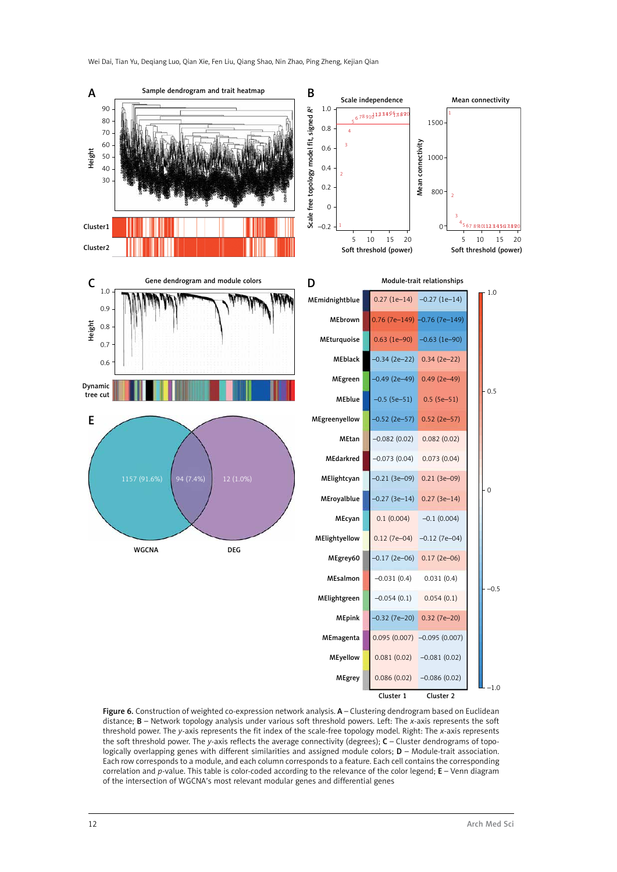

Figure 6. Construction of weighted co-expression network analysis. A - Clustering dendrogram based on Euclidean distance; B – Network topology analysis under various soft threshold powers. Left: The *x*-axis represents the soft threshold power. The *y*-axis represents the fit index of the scale-free topology model. Right: The *x*-axis represents the soft threshold power. The *y*-axis reflects the average connectivity (degrees); C – Cluster dendrograms of topologically overlapping genes with different similarities and assigned module colors; **D** – Module-trait association. Each row corresponds to a module, and each column corresponds to a feature. Each cell contains the corresponding correlation and *p*-value. This table is color-coded according to the relevance of the color legend; E – Venn diagram of the intersection of WGCNA's most relevant modular genes and differential genes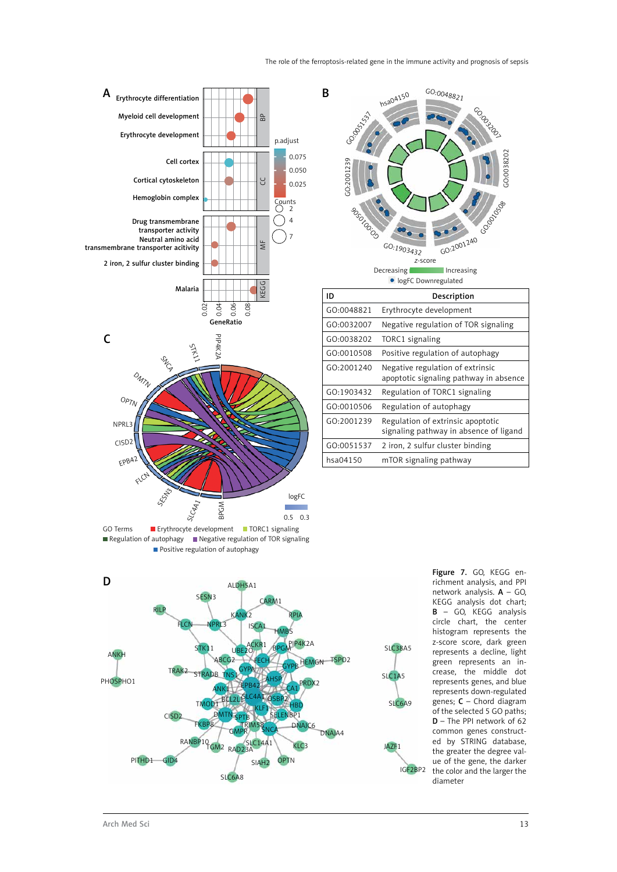



network analysis.  $A - GO$ , KEGG analysis dot chart; B – GO, KEGG analysis circle chart, the center histogram represents the z-score score, dark green represents a decline, light green represents an increase, the middle dot represents genes, and blue represents down-regulated genes;  $C$  – Chord diagram of the selected 5 GO paths; D – The PPI network of 62 common genes constructed by STRING database, the greater the degree value of the gene, the darker the color and the larger the diameter

GO:0038202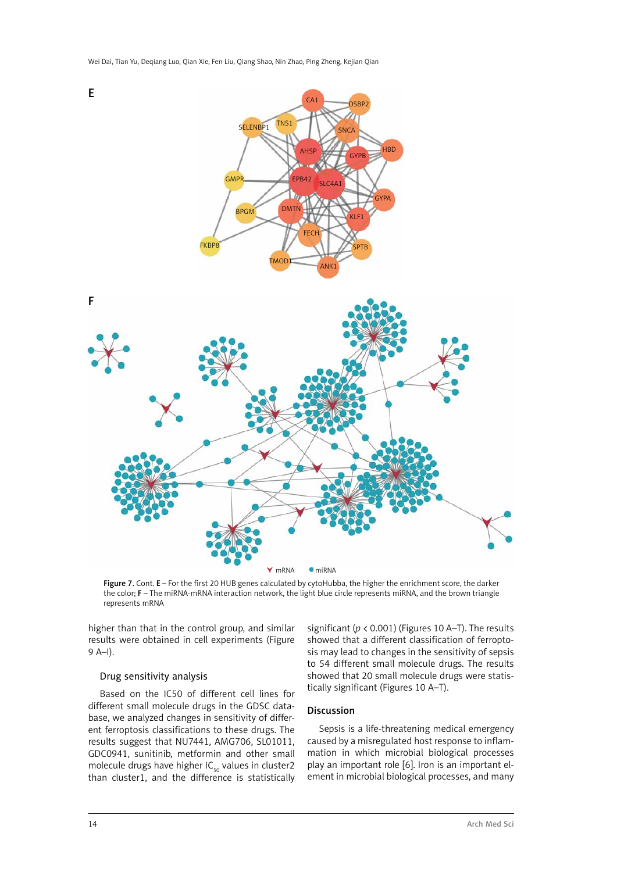



Figure 7. Cont. E – For the first 20 HUB genes calculated by cytoHubba, the higher the enrichment score, the darker the color; F – The miRNA-mRNA interaction network, the light blue circle represents miRNA, and the brown triangle represents mRNA

higher than that in the control group, and similar results were obtained in cell experiments (Figure 9 A–I).

## Drug sensitivity analysis

Based on the IC50 of different cell lines for different small molecule drugs in the GDSC database, we analyzed changes in sensitivity of different ferroptosis classifications to these drugs. The results suggest that NU7441, AMG706, SL01011, GDC0941, sunitinib, metformin and other small molecule drugs have higher  $IC_{50}$  values in cluster2 than cluster1, and the difference is statistically significant (*p* < 0.001) (Figures 10 A–T). The results showed that a different classification of ferroptosis may lead to changes in the sensitivity of sepsis to 54 different small molecule drugs. The results showed that 20 small molecule drugs were statistically significant (Figures 10 A–T).

#### Discussion

Sepsis is a life-threatening medical emergency caused by a misregulated host response to inflammation in which microbial biological processes play an important role [6]. Iron is an important element in microbial biological processes, and many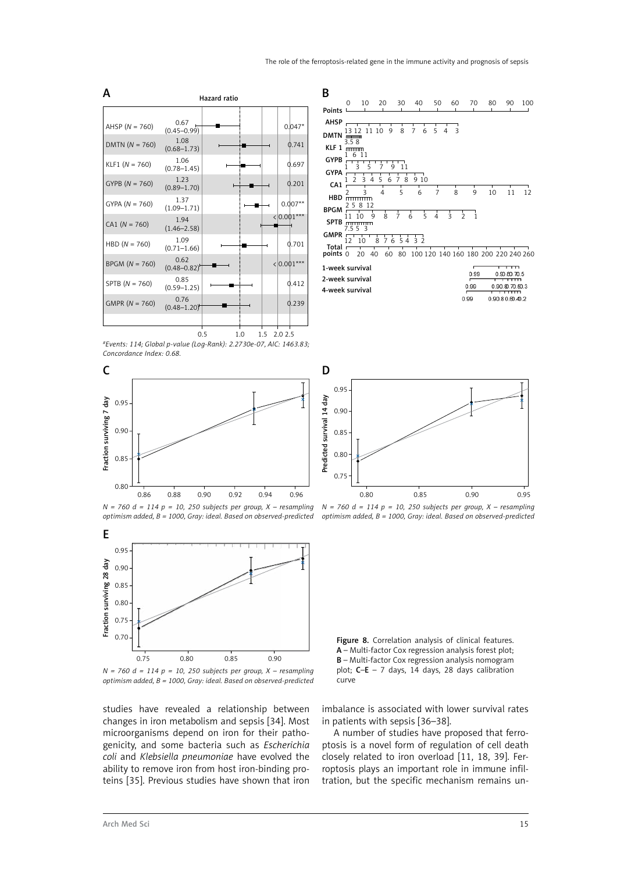

|                   | 0                               | 10                       | 20          | 30                    | 40                  | 50                  | 60             | 70                                        | 80 | 90                               | 100 |
|-------------------|---------------------------------|--------------------------|-------------|-----------------------|---------------------|---------------------|----------------|-------------------------------------------|----|----------------------------------|-----|
| Points            |                                 |                          |             |                       |                     |                     |                |                                           |    |                                  |     |
| AHSP              |                                 |                          |             |                       |                     |                     |                |                                           |    |                                  |     |
| <b>DMTN</b>       | 13 12<br>mmmm<br>3.58           | 11 10                    | 9           | 8                     | $\overline{7}$<br>6 | 5<br>$\overline{4}$ | $\overline{3}$ |                                           |    |                                  |     |
| KLF 1             | mmm                             |                          |             |                       |                     |                     |                |                                           |    |                                  |     |
| <b>GYPB</b>       | 6 11<br>1                       |                          |             |                       |                     |                     |                |                                           |    |                                  |     |
| <b>GYPA</b>       | 3<br>1                          | 5<br>т                   | 7<br>9      | 11                    |                     |                     |                |                                           |    |                                  |     |
| CA <sub>1</sub>   | 2<br>1                          | 3<br>$\overline{4}$<br>т | 5<br>6<br>т | 8<br>$7^{\circ}$<br>т | 9 10<br>т           | т                   | т              | т                                         |    |                                  |     |
| HBD               | $\overline{\phantom{a}}$<br>mmm | 3                        | 4           | 5                     | 6                   | $\overline{7}$      | 8              | 9                                         | 10 | 11                               | 12  |
| <b>BPGM</b>       | 258<br>11<br>10                 | -12<br>9                 | т<br>8      | $\overline{7}$        | 5<br>6              | 4                   | 3              | $\overline{2}$<br>1                       |    |                                  |     |
|                   | SPTB mmmmm<br>7.553             |                          |             |                       |                     |                     |                |                                           |    |                                  |     |
| GMPR <sub>r</sub> | 12                              | 10                       | 8 7 6 5 4   |                       | 3 <sub>2</sub>      |                     |                |                                           |    |                                  |     |
| Total $-$         | т                               | т                        | т           | т                     |                     |                     |                |                                           |    |                                  |     |
| points 0          |                                 | 20 40                    |             |                       |                     |                     |                | 60 80 100 120 140 160 180 200 220 240 260 |    |                                  |     |
| 1-week survival   |                                 |                          |             |                       |                     |                     |                | 0.99                                      |    | ᅲ<br>0.90.80.70.5                |     |
| 2-week survival   |                                 |                          |             |                       |                     |                     |                |                                           |    |                                  |     |
| 4-week survival   |                                 |                          |             |                       |                     |                     |                | 0.99                                      |    | 0.90.80.70.50.3                  |     |
|                   |                                 |                          |             |                       |                     |                     |                | 0.99                                      |    | <u>,,,,,,</u><br>0.90.80.60.40.2 |     |
|                   |                                 |                          |             |                       |                     |                     |                |                                           |    |                                  |     |

*<sup>#</sup>Events: 114; Global p-value (Log-Rank): 2.2730e-07, AIC: 1463.83; Concordance Index: 0.68.*





*N = 760 d = 114 p = 10, 250 subjects per group, X – resampling optimism added, B = 1000, Gray: ideal. Based on observed-predicted*

*N = 760 d = 114 p = 10, 250 subjects per group, X – resampling optimism added, B = 1000, Gray: ideal. Based on observed-predicted*



*N = 760 d = 114 p = 10, 250 subjects per group, X – resampling optimism added, B = 1000, Gray: ideal. Based on observed-predicted*

studies have revealed a relationship between changes in iron metabolism and sepsis [34]. Most microorganisms depend on iron for their pathogenicity, and some bacteria such as *Escherichia coli* and *Klebsiella pneumoniae* have evolved the ability to remove iron from host iron-binding proteins [35]. Previous studies have shown that iron imbalance is associated with lower survival rates in patients with sepsis [36–38].

curve

Figure 8. Correlation analysis of clinical features. A – Multi-factor Cox regression analysis forest plot; B – Multi-factor Cox regression analysis nomogram plot;  $C-E - 7$  days, 14 days, 28 days calibration

A number of studies have proposed that ferroptosis is a novel form of regulation of cell death closely related to iron overload [11, 18, 39]. Ferroptosis plays an important role in immune infiltration, but the specific mechanism remains un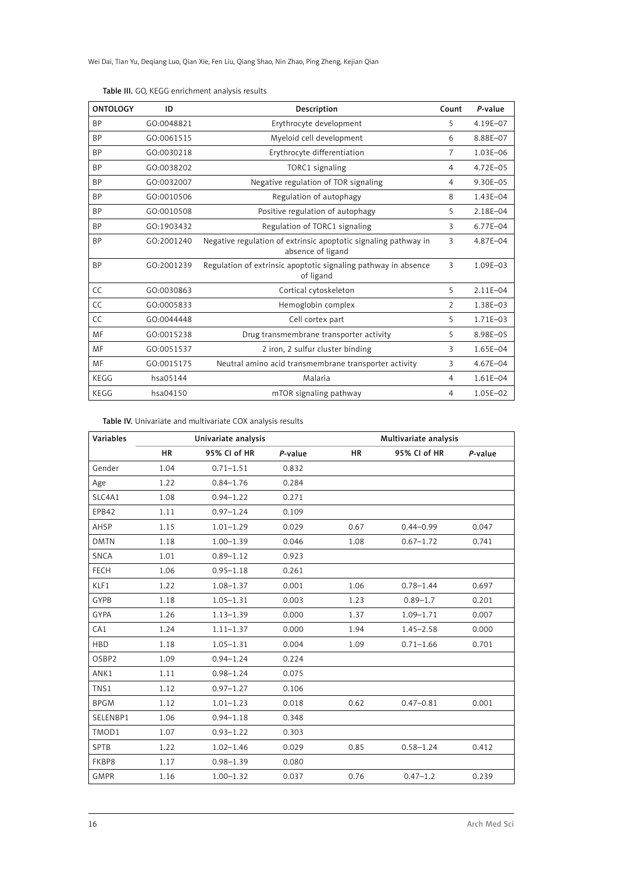Wei Dai, Tian Yu, Deqiang Luo, Qian Xie, Fen Liu, Qiang Shao, Nin Zhao, Ping Zheng, Kejian Qian

| <b>ONTOLOGY</b> | ID         | Description                                                                          | Count          | P-value      |
|-----------------|------------|--------------------------------------------------------------------------------------|----------------|--------------|
| <b>BP</b>       | GO:0048821 | Erythrocyte development                                                              | 5              | 4.19E-07     |
| <b>BP</b>       | GO:0061515 | Myeloid cell development                                                             | 6              | 8.88E-07     |
| <b>BP</b>       | GO:0030218 | Erythrocyte differentiation                                                          | 7              | 1.03E-06     |
| <b>BP</b>       | GO:0038202 | TORC1 signaling                                                                      | $\overline{4}$ | 4.72E-05     |
| <b>BP</b>       | GO:0032007 | Negative regulation of TOR signaling                                                 | 4              | 9.30E-05     |
| <b>BP</b>       | GO:0010506 | Regulation of autophagy                                                              | 8              | 1.43E-04     |
| <b>BP</b>       | GO:0010508 | Positive regulation of autophagy                                                     | 5              | 2.18E-04     |
| <b>BP</b>       | GO:1903432 | Regulation of TORC1 signaling                                                        | 3              | 6.77E-04     |
| <b>BP</b>       | GO:2001240 | Negative regulation of extrinsic apoptotic signaling pathway in<br>absence of ligand | 3              | 4.87E-04     |
| <b>BP</b>       | GO:2001239 | Regulation of extrinsic apoptotic signaling pathway in absence<br>of ligand          | 3              | 1.09E-03     |
| CC              | GO:0030863 | Cortical cytoskeleton                                                                | 5              | $2.11E - 04$ |
| CC              | GO:0005833 | Hemoglobin complex                                                                   | $\overline{2}$ | 1.38E-03     |
| CC              | GO:0044448 | Cell cortex part                                                                     | 5              | 1.71E-03     |
| MF              | GO:0015238 | Drug transmembrane transporter activity                                              | 5              | 8.98E-05     |
| MF              | GO:0051537 | 2 iron, 2 sulfur cluster binding                                                     | 3              | 1.65E-04     |
| MF              | GO:0015175 | Neutral amino acid transmembrane transporter activity                                | 3              | 4.67E-04     |
| KEGG            | hsa05144   | Malaria                                                                              | 4              | 1.61E-04     |
| KEGG            | hsa04150   | mTOR signaling pathway                                                               | 4              | 1.05E-02     |

# Table III. GO, KEGG enrichment analysis results

Table IV. Univariate and multivariate COX analysis results

| Variables   |           | Univariate analysis |         | Multivariate analysis |               |         |  |  |
|-------------|-----------|---------------------|---------|-----------------------|---------------|---------|--|--|
|             | <b>HR</b> | 95% CI of HR        | P-value | <b>HR</b>             | 95% CI of HR  | P-value |  |  |
| Gender      | 1.04      | $0.71 - 1.51$       | 0.832   |                       |               |         |  |  |
| Age         | 1.22      | $0.84 - 1.76$       | 0.284   |                       |               |         |  |  |
| SLC4A1      | 1.08      | $0.94 - 1.22$       | 0.271   |                       |               |         |  |  |
| EPB42       | 1.11      | $0.97 - 1.24$       | 0.109   |                       |               |         |  |  |
| AHSP        | 1.15      | $1.01 - 1.29$       | 0.029   | 0.67                  | $0.44 - 0.99$ | 0.047   |  |  |
| <b>DMTN</b> | 1.18      | $1.00 - 1.39$       | 0.046   | 1.08                  | $0.67 - 1.72$ | 0.741   |  |  |
| SNCA        | 1.01      | $0.89 - 1.12$       | 0.923   |                       |               |         |  |  |
| <b>FECH</b> | 1.06      | $0.95 - 1.18$       | 0.261   |                       |               |         |  |  |
| KLF1        | 1.22      | $1.08 - 1.37$       | 0.001   | 1.06                  | $0.78 - 1.44$ | 0.697   |  |  |
| GYPB        | 1.18      | $1.05 - 1.31$       | 0.003   | 1.23                  | $0.89 - 1.7$  | 0.201   |  |  |
| <b>GYPA</b> | 1.26      | $1.13 - 1.39$       | 0.000   | 1.37                  | $1.09 - 1.71$ | 0.007   |  |  |
| CA1         | 1.24      | $1.11 - 1.37$       | 0.000   | 1.94                  | $1.45 - 2.58$ | 0.000   |  |  |
| <b>HBD</b>  | 1.18      | $1.05 - 1.31$       | 0.004   | 1.09                  | $0.71 - 1.66$ | 0.701   |  |  |
| OSBP2       | 1.09      | $0.94 - 1.24$       | 0.224   |                       |               |         |  |  |
| ANK1        | 1.11      | $0.98 - 1.24$       | 0.075   |                       |               |         |  |  |
| TNS1        | 1.12      | $0.97 - 1.27$       | 0.106   |                       |               |         |  |  |
| <b>BPGM</b> | 1.12      | $1.01 - 1.23$       | 0.018   | 0.62                  | $0.47 - 0.81$ | 0.001   |  |  |
| SELENBP1    | 1.06      | $0.94 - 1.18$       | 0.348   |                       |               |         |  |  |
| TMOD1       | 1.07      | $0.93 - 1.22$       | 0.303   |                       |               |         |  |  |
| <b>SPTB</b> | 1.22      | $1.02 - 1.46$       | 0.029   | 0.85                  | $0.58 - 1.24$ | 0.412   |  |  |
| FKBP8       | 1.17      | $0.98 - 1.39$       | 0.080   |                       |               |         |  |  |
| <b>GMPR</b> | 1.16      | $1.00 - 1.32$       | 0.037   | 0.76                  | $0.47 - 1.2$  | 0.239   |  |  |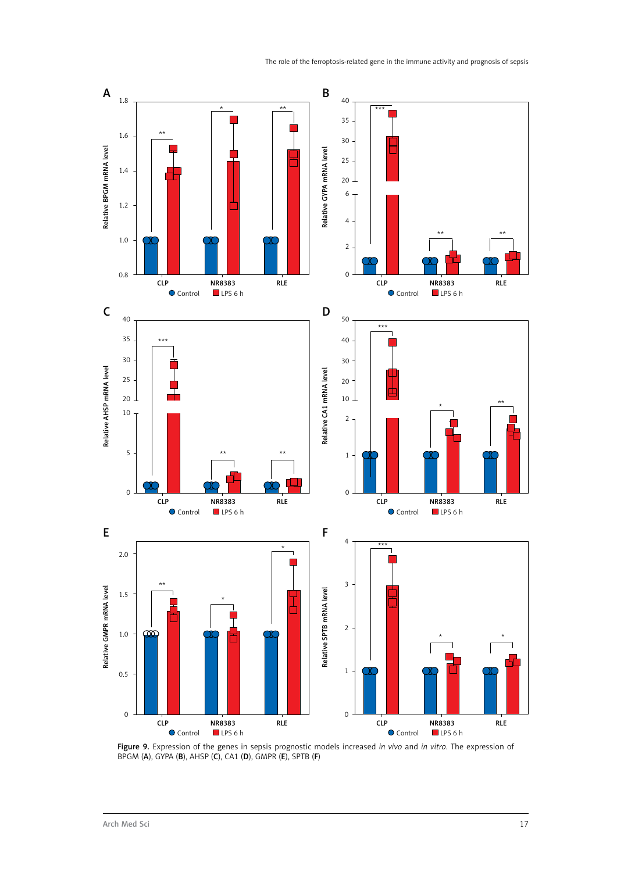

Figure 9. Expression of the genes in sepsis prognostic models increased *in vivo* and *in vitro*. The expression of BPGM (A), GYPA (B), AHSP (C), CA1 (D), GMPR (E), SPTB (F)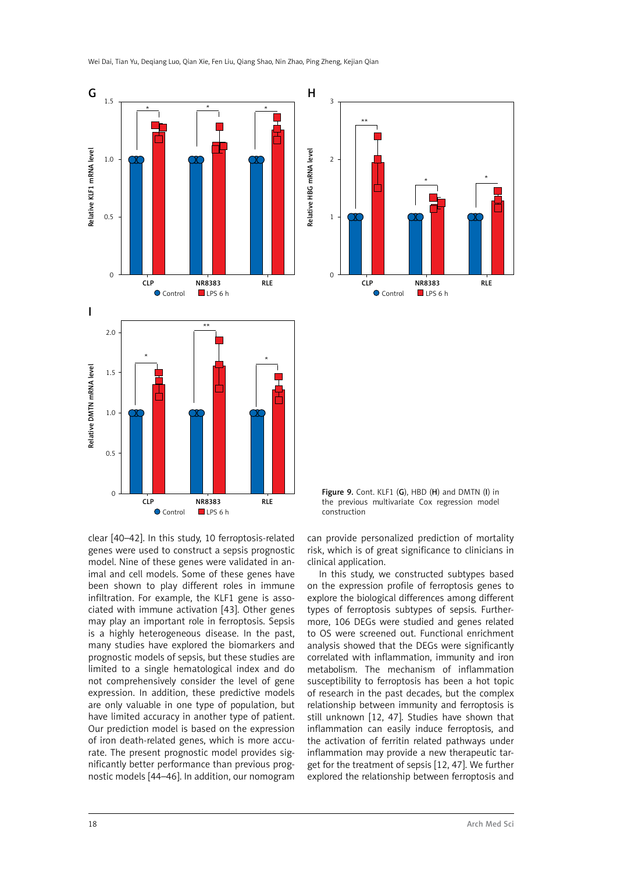



Figure 9. Cont. KLF1 (G), HBD (H) and DMTN (I) in the previous multivariate Cox regression model construction

clear [40–42]. In this study, 10 ferroptosis-related genes were used to construct a sepsis prognostic model. Nine of these genes were validated in animal and cell models. Some of these genes have been shown to play different roles in immune infiltration. For example, the KLF1 gene is associated with immune activation [43]. Other genes may play an important role in ferroptosis. Sepsis is a highly heterogeneous disease. In the past, many studies have explored the biomarkers and prognostic models of sepsis, but these studies are limited to a single hematological index and do not comprehensively consider the level of gene expression. In addition, these predictive models are only valuable in one type of population, but have limited accuracy in another type of patient. Our prediction model is based on the expression of iron death-related genes, which is more accurate. The present prognostic model provides significantly better performance than previous prognostic models [44–46]. In addition, our nomogram can provide personalized prediction of mortality risk, which is of great significance to clinicians in clinical application.

In this study, we constructed subtypes based on the expression profile of ferroptosis genes to explore the biological differences among different types of ferroptosis subtypes of sepsis. Furthermore, 106 DEGs were studied and genes related to OS were screened out. Functional enrichment analysis showed that the DEGs were significantly correlated with inflammation, immunity and iron metabolism. The mechanism of inflammation susceptibility to ferroptosis has been a hot topic of research in the past decades, but the complex relationship between immunity and ferroptosis is still unknown [12, 47]. Studies have shown that inflammation can easily induce ferroptosis, and the activation of ferritin related pathways under inflammation may provide a new therapeutic target for the treatment of sepsis [12, 47]. We further explored the relationship between ferroptosis and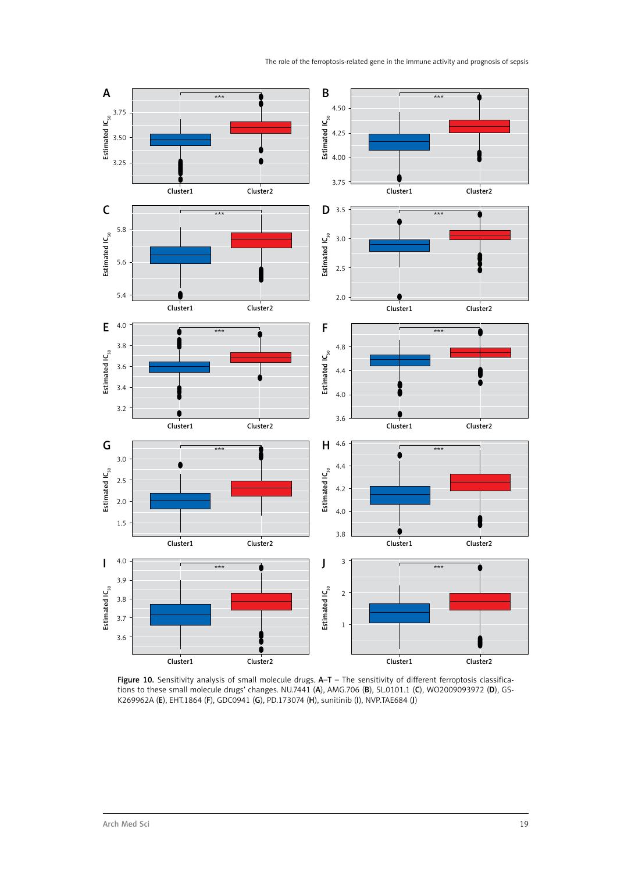

Figure 10. Sensitivity analysis of small molecule drugs. A–T – The sensitivity of different ferroptosis classifications to these small molecule drugs' changes. NU.7441 (A), AMG.706 (B), SL.0101.1 (C), WO2009093972 (D), GS-K269962A (E), EHT.1864 (F), GDC0941 (G), PD.173074 (H), sunitinib (I), NVP.TAE684 (J)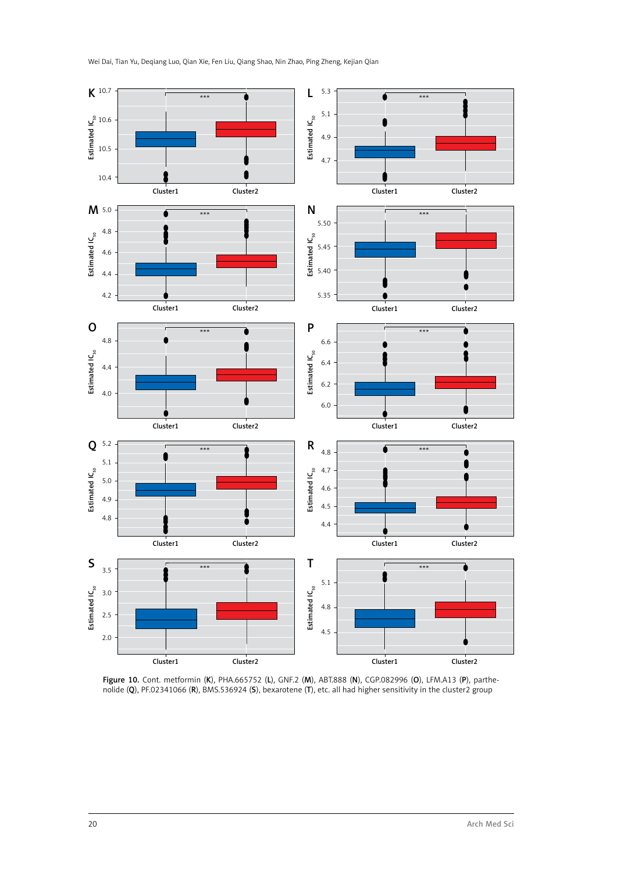

Figure 10. Cont. metformin (K), PHA.665752 (L), GNF.2 (M), ABT.888 (N), CGP.082996 (O), LFM.A13 (P), parthenolide (Q), PF.02341066 (R), BMS.536924 (S), bexarotene (T), etc. all had higher sensitivity in the cluster2 group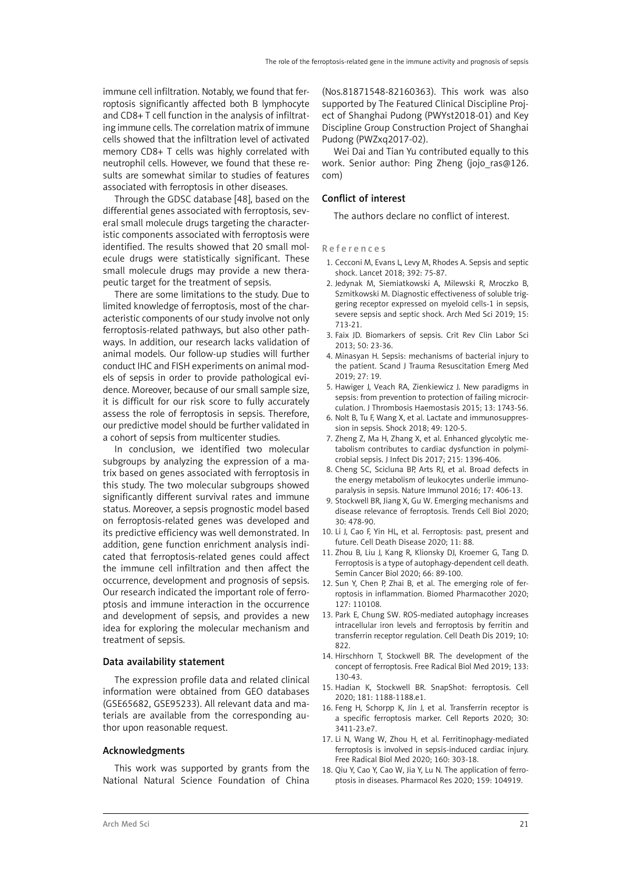immune cell infiltration. Notably, we found that ferroptosis significantly affected both B lymphocyte and CD8+ T cell function in the analysis of infiltrating immune cells. The correlation matrix of immune cells showed that the infiltration level of activated memory CD8+ T cells was highly correlated with neutrophil cells. However, we found that these results are somewhat similar to studies of features associated with ferroptosis in other diseases.

Through the GDSC database [48], based on the differential genes associated with ferroptosis, several small molecule drugs targeting the characteristic components associated with ferroptosis were identified. The results showed that 20 small molecule drugs were statistically significant. These small molecule drugs may provide a new therapeutic target for the treatment of sepsis.

There are some limitations to the study. Due to limited knowledge of ferroptosis, most of the characteristic components of our study involve not only ferroptosis-related pathways, but also other pathways. In addition, our research lacks validation of animal models. Our follow-up studies will further conduct IHC and FISH experiments on animal models of sepsis in order to provide pathological evidence. Moreover, because of our small sample size, it is difficult for our risk score to fully accurately assess the role of ferroptosis in sepsis. Therefore, our predictive model should be further validated in a cohort of sepsis from multicenter studies.

In conclusion, we identified two molecular subgroups by analyzing the expression of a matrix based on genes associated with ferroptosis in this study. The two molecular subgroups showed significantly different survival rates and immune status. Moreover, a sepsis prognostic model based on ferroptosis-related genes was developed and its predictive efficiency was well demonstrated. In addition, gene function enrichment analysis indicated that ferroptosis-related genes could affect the immune cell infiltration and then affect the occurrence, development and prognosis of sepsis. Our research indicated the important role of ferroptosis and immune interaction in the occurrence and development of sepsis, and provides a new idea for exploring the molecular mechanism and treatment of sepsis.

#### Data availability statement

The expression profile data and related clinical information were obtained from GEO databases (GSE65682, GSE95233). All relevant data and materials are available from the corresponding author upon reasonable request.

#### Acknowledgments

This work was supported by grants from the National Natural Science Foundation of China

(Nos.81871548-82160363). This work was also supported by The Featured Clinical Discipline Project of Shanghai Pudong (PWYst2018-01) and Key Discipline Group Construction Project of Shanghai Pudong (PWZxq2017-02).

Wei Dai and Tian Yu contributed equally to this work. Senior author: Ping Zheng (jojo\_ras@126. com)

## Conflict of interest

The authors declare no conflict of interest.

#### R e f e r e n c e s

- 1. Cecconi M, Evans L, Levy M, Rhodes A. Sepsis and septic shock. Lancet 2018; 392: 75-87.
- 2. Jedynak M, Siemiatkowski A, Milewski R, Mroczko B, Szmitkowski M. Diagnostic effectiveness of soluble triggering receptor expressed on myeloid cells-1 in sepsis, severe sepsis and septic shock. Arch Med Sci 2019; 15: 713-21.
- 3. Faix JD. Biomarkers of sepsis. Crit Rev Clin Labor Sci 2013; 50: 23-36.
- 4. Minasyan H. Sepsis: mechanisms of bacterial injury to the patient. Scand J Trauma Resuscitation Emerg Med 2019; 27: 19.
- 5. Hawiger J, Veach RA, Zienkiewicz J. New paradigms in sepsis: from prevention to protection of failing microcirculation. J Thrombosis Haemostasis 2015; 13: 1743-56.
- 6. Nolt B, Tu F, Wang X, et al. Lactate and immunosuppression in sepsis. Shock 2018; 49: 120-5.
- 7. Zheng Z, Ma H, Zhang X, et al. Enhanced glycolytic metabolism contributes to cardiac dysfunction in polymicrobial sepsis. J Infect Dis 2017; 215: 1396-406.
- 8. Cheng SC, Scicluna BP, Arts RJ, et al. Broad defects in the energy metabolism of leukocytes underlie immunoparalysis in sepsis. Nature Immunol 2016; 17: 406-13.
- 9. Stockwell BR, Jiang X, Gu W. Emerging mechanisms and disease relevance of ferroptosis. Trends Cell Biol 2020; 30: 478-90.
- 10. Li J, Cao F, Yin HL, et al. Ferroptosis: past, present and future. Cell Death Disease 2020; 11: 88.
- 11. Zhou B, Liu J, Kang R, Klionsky DJ, Kroemer G, Tang D. Ferroptosis is a type of autophagy-dependent cell death. Semin Cancer Biol 2020; 66: 89-100.
- 12. Sun Y, Chen P, Zhai B, et al. The emerging role of ferroptosis in inflammation. Biomed Pharmacother 2020; 127: 110108.
- 13. Park E, Chung SW. ROS-mediated autophagy increases intracellular iron levels and ferroptosis by ferritin and transferrin receptor regulation. Cell Death Dis 2019; 10: 822.
- 14. Hirschhorn T, Stockwell BR. The development of the concept of ferroptosis. Free Radical Biol Med 2019; 133: 130-43.
- 15. Hadian K, Stockwell BR. SnapShot: ferroptosis. Cell 2020; 181: 1188-1188.e1.
- 16. Feng H, Schorpp K, Jin J, et al. Transferrin receptor is a specific ferroptosis marker. Cell Reports 2020; 30: 3411-23.e7.
- 17. Li N, Wang W, Zhou H, et al. Ferritinophagy-mediated ferroptosis is involved in sepsis-induced cardiac injury. Free Radical Biol Med 2020; 160: 303-18.
- 18. Qiu Y, Cao Y, Cao W, Jia Y, Lu N. The application of ferroptosis in diseases. Pharmacol Res 2020; 159: 104919.